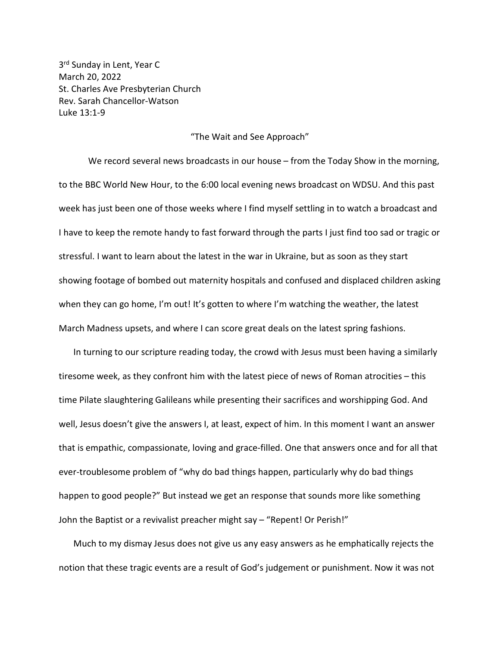3<sup>rd</sup> Sunday in Lent, Year C March 20, 2022 St. Charles Ave Presbyterian Church Rev. Sarah Chancellor-Watson Luke 13:1-9

## "The Wait and See Approach"

We record several news broadcasts in our house – from the Today Show in the morning, to the BBC World New Hour, to the 6:00 local evening news broadcast on WDSU. And this past week has just been one of those weeks where I find myself settling in to watch a broadcast and I have to keep the remote handy to fast forward through the parts I just find too sad or tragic or stressful. I want to learn about the latest in the war in Ukraine, but as soon as they start showing footage of bombed out maternity hospitals and confused and displaced children asking when they can go home, I'm out! It's gotten to where I'm watching the weather, the latest March Madness upsets, and where I can score great deals on the latest spring fashions.

In turning to our scripture reading today, the crowd with Jesus must been having a similarly tiresome week, as they confront him with the latest piece of news of Roman atrocities – this time Pilate slaughtering Galileans while presenting their sacrifices and worshipping God. And well, Jesus doesn't give the answers I, at least, expect of him. In this moment I want an answer that is empathic, compassionate, loving and grace-filled. One that answers once and for all that ever-troublesome problem of "why do bad things happen, particularly why do bad things happen to good people?" But instead we get an response that sounds more like something John the Baptist or a revivalist preacher might say – "Repent! Or Perish!"

Much to my dismay Jesus does not give us any easy answers as he emphatically rejects the notion that these tragic events are a result of God's judgement or punishment. Now it was not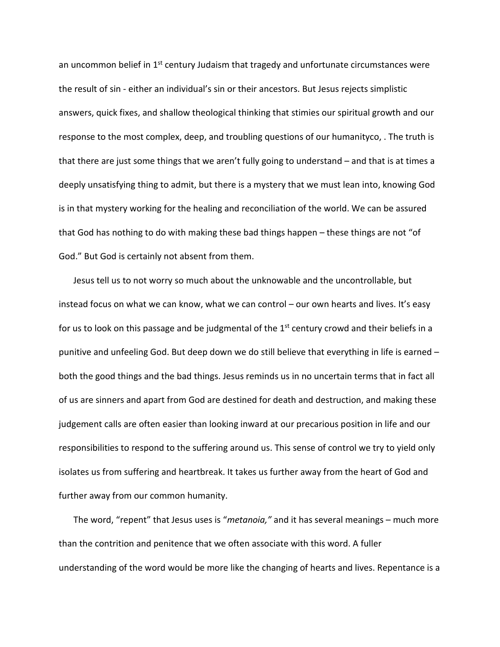an uncommon belief in  $1<sup>st</sup>$  century Judaism that tragedy and unfortunate circumstances were the result of sin - either an individual's sin or their ancestors. But Jesus rejects simplistic answers, quick fixes, and shallow theological thinking that stimies our spiritual growth and our response to the most complex, deep, and troubling questions of our humanityco, . The truth is that there are just some things that we aren't fully going to understand – and that is at times a deeply unsatisfying thing to admit, but there is a mystery that we must lean into, knowing God is in that mystery working for the healing and reconciliation of the world. We can be assured that God has nothing to do with making these bad things happen – these things are not "of God." But God is certainly not absent from them.

Jesus tell us to not worry so much about the unknowable and the uncontrollable, but instead focus on what we can know, what we can control – our own hearts and lives. It's easy for us to look on this passage and be judgmental of the  $1<sup>st</sup>$  century crowd and their beliefs in a punitive and unfeeling God. But deep down we do still believe that everything in life is earned – both the good things and the bad things. Jesus reminds us in no uncertain terms that in fact all of us are sinners and apart from God are destined for death and destruction, and making these judgement calls are often easier than looking inward at our precarious position in life and our responsibilities to respond to the suffering around us. This sense of control we try to yield only isolates us from suffering and heartbreak. It takes us further away from the heart of God and further away from our common humanity.

The word, "repent" that Jesus uses is "*metanoia,"* and it has several meanings – much more than the contrition and penitence that we often associate with this word. A fuller understanding of the word would be more like the changing of hearts and lives. Repentance is a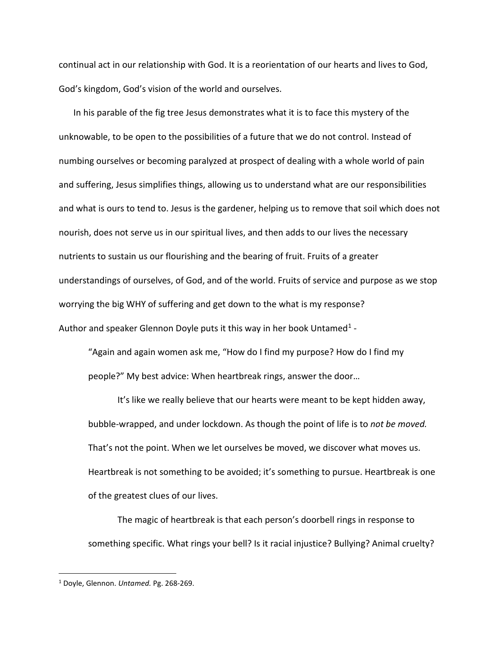continual act in our relationship with God. It is a reorientation of our hearts and lives to God, God's kingdom, God's vision of the world and ourselves.

In his parable of the fig tree Jesus demonstrates what it is to face this mystery of the unknowable, to be open to the possibilities of a future that we do not control. Instead of numbing ourselves or becoming paralyzed at prospect of dealing with a whole world of pain and suffering, Jesus simplifies things, allowing us to understand what are our responsibilities and what is ours to tend to. Jesus is the gardener, helping us to remove that soil which does not nourish, does not serve us in our spiritual lives, and then adds to our lives the necessary nutrients to sustain us our flourishing and the bearing of fruit. Fruits of a greater understandings of ourselves, of God, and of the world. Fruits of service and purpose as we stop worrying the big WHY of suffering and get down to the what is my response? Author and speaker Glennon Doyle puts it this way in her book Untamed<sup>1</sup> -

"Again and again women ask me, "How do I find my purpose? How do I find my people?" My best advice: When heartbreak rings, answer the door…

It's like we really believe that our hearts were meant to be kept hidden away, bubble-wrapped, and under lockdown. As though the point of life is to *not be moved.* That's not the point. When we let ourselves be moved, we discover what moves us. Heartbreak is not something to be avoided; it's something to pursue. Heartbreak is one of the greatest clues of our lives.

The magic of heartbreak is that each person's doorbell rings in response to something specific. What rings your bell? Is it racial injustice? Bullying? Animal cruelty?

<span id="page-2-0"></span><sup>1</sup> Doyle, Glennon. *Untamed.* Pg. 268-269.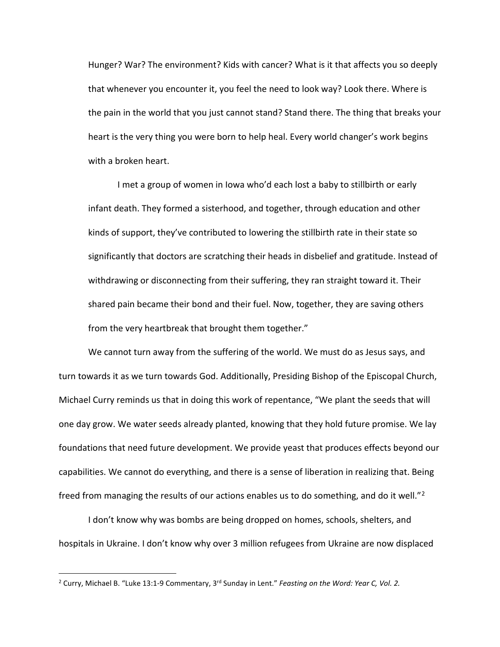Hunger? War? The environment? Kids with cancer? What is it that affects you so deeply that whenever you encounter it, you feel the need to look way? Look there. Where is the pain in the world that you just cannot stand? Stand there. The thing that breaks your heart is the very thing you were born to help heal. Every world changer's work begins with a broken heart.

I met a group of women in Iowa who'd each lost a baby to stillbirth or early infant death. They formed a sisterhood, and together, through education and other kinds of support, they've contributed to lowering the stillbirth rate in their state so significantly that doctors are scratching their heads in disbelief and gratitude. Instead of withdrawing or disconnecting from their suffering, they ran straight toward it. Their shared pain became their bond and their fuel. Now, together, they are saving others from the very heartbreak that brought them together."

We cannot turn away from the suffering of the world. We must do as Jesus says, and turn towards it as we turn towards God. Additionally, Presiding Bishop of the Episcopal Church, Michael Curry reminds us that in doing this work of repentance, "We plant the seeds that will one day grow. We water seeds already planted, knowing that they hold future promise. We lay foundations that need future development. We provide yeast that produces effects beyond our capabilities. We cannot do everything, and there is a sense of liberation in realizing that. Being freed from managing the results of our actions enables us to do something, and do it well."<sup>[2](#page-3-0)</sup>

I don't know why was bombs are being dropped on homes, schools, shelters, and hospitals in Ukraine. I don't know why over 3 million refugees from Ukraine are now displaced

<span id="page-3-0"></span><sup>&</sup>lt;sup>2</sup> Curry, Michael B. "Luke 13:1-9 Commentary, 3<sup>rd</sup> Sunday in Lent." *Feasting on the Word: Year C, Vol. 2.*